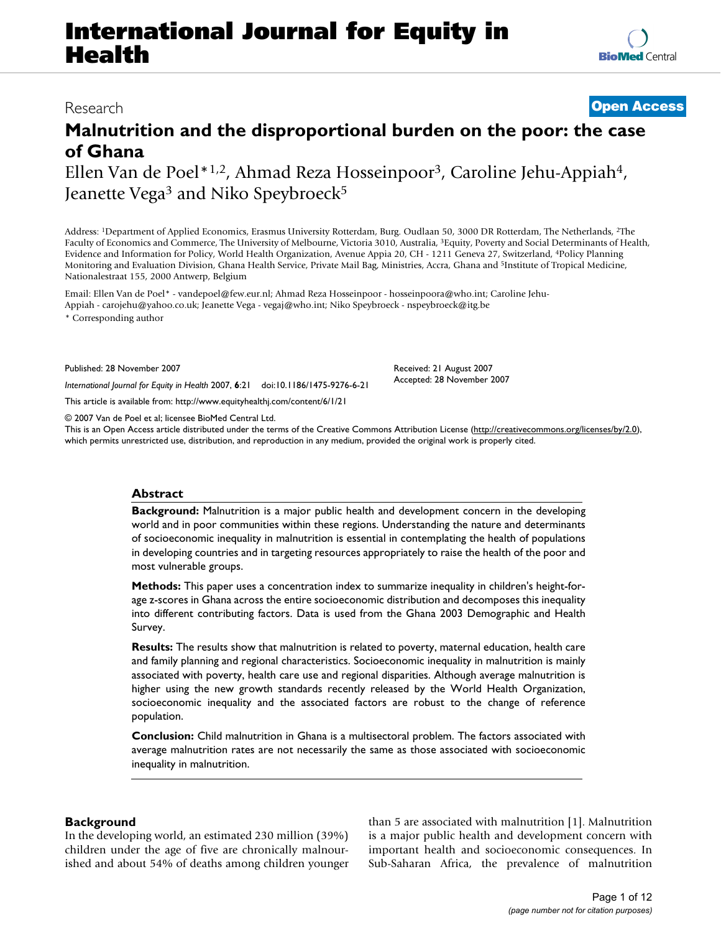Ellen Van de Poel\*1,2, Ahmad Reza Hosseinpoor3, Caroline Jehu-Appiah4, Jeanette Vega<sup>3</sup> and Niko Speybroeck<sup>5</sup>

Address: 1Department of Applied Economics, Erasmus University Rotterdam, Burg. Oudlaan 50, 3000 DR Rotterdam, The Netherlands, 2The Faculty of Economics and Commerce, The University of Melbourne, Victoria 3010, Australia, 3Equity, Poverty and Social Determinants of Health, Evidence and Information for Policy, World Health Organization, Avenue Appia 20, CH - 1211 Geneva 27, Switzerland, 4Policy Planning Monitoring and Evaluation Division, Ghana Health Service, Private Mail Bag, Ministries, Accra, Ghana and 5Institute of Tropical Medicine, Nationalestraat 155, 2000 Antwerp, Belgium

Email: Ellen Van de Poel\* - vandepoel@few.eur.nl; Ahmad Reza Hosseinpoor - hosseinpoora@who.int; Caroline Jehu-Appiah - carojehu@yahoo.co.uk; Jeanette Vega - vegaj@who.int; Niko Speybroeck - nspeybroeck@itg.be \* Corresponding author

Published: 28 November 2007

*International Journal for Equity in Health* 2007, **6**:21 doi:10.1186/1475-9276-6-21

[This article is available from: http://www.equityhealthj.com/content/6/1/21](http://www.equityhealthj.com/content/6/1/21)

© 2007 Van de Poel et al; licensee BioMed Central Ltd.

This is an Open Access article distributed under the terms of the Creative Commons Attribution License [\(http://creativecommons.org/licenses/by/2.0\)](http://creativecommons.org/licenses/by/2.0), which permits unrestricted use, distribution, and reproduction in any medium, provided the original work is properly cited.

## **Abstract**

**Background:** Malnutrition is a major public health and development concern in the developing world and in poor communities within these regions. Understanding the nature and determinants of socioeconomic inequality in malnutrition is essential in contemplating the health of populations in developing countries and in targeting resources appropriately to raise the health of the poor and most vulnerable groups.

**Methods:** This paper uses a concentration index to summarize inequality in children's height-forage z-scores in Ghana across the entire socioeconomic distribution and decomposes this inequality into different contributing factors. Data is used from the Ghana 2003 Demographic and Health Survey.

**Results:** The results show that malnutrition is related to poverty, maternal education, health care and family planning and regional characteristics. Socioeconomic inequality in malnutrition is mainly associated with poverty, health care use and regional disparities. Although average malnutrition is higher using the new growth standards recently released by the World Health Organization, socioeconomic inequality and the associated factors are robust to the change of reference population.

**Conclusion:** Child malnutrition in Ghana is a multisectoral problem. The factors associated with average malnutrition rates are not necessarily the same as those associated with socioeconomic inequality in malnutrition.

# **Background**

In the developing world, an estimated 230 million (39%) children under the age of five are chronically malnourished and about 54% of deaths among children younger than 5 are associated with malnutrition [1]. Malnutrition is a major public health and development concern with important health and socioeconomic consequences. In Sub-Saharan Africa, the prevalence of malnutrition

Received: 21 August 2007 Accepted: 28 November 2007

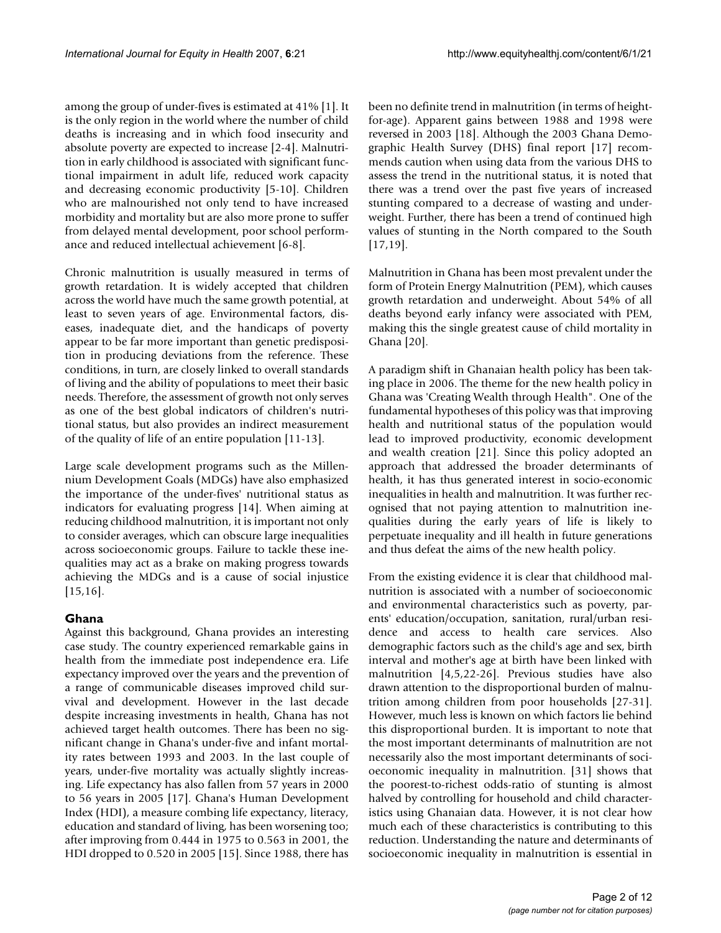among the group of under-fives is estimated at 41% [1]. It is the only region in the world where the number of child deaths is increasing and in which food insecurity and absolute poverty are expected to increase [2-4]. Malnutrition in early childhood is associated with significant functional impairment in adult life, reduced work capacity and decreasing economic productivity [5-10]. Children who are malnourished not only tend to have increased morbidity and mortality but are also more prone to suffer from delayed mental development, poor school performance and reduced intellectual achievement [6-8].

Chronic malnutrition is usually measured in terms of growth retardation. It is widely accepted that children across the world have much the same growth potential, at least to seven years of age. Environmental factors, diseases, inadequate diet, and the handicaps of poverty appear to be far more important than genetic predisposition in producing deviations from the reference. These conditions, in turn, are closely linked to overall standards of living and the ability of populations to meet their basic needs. Therefore, the assessment of growth not only serves as one of the best global indicators of children's nutritional status, but also provides an indirect measurement of the quality of life of an entire population [11-13].

Large scale development programs such as the Millennium Development Goals (MDGs) have also emphasized the importance of the under-fives' nutritional status as indicators for evaluating progress [14]. When aiming at reducing childhood malnutrition, it is important not only to consider averages, which can obscure large inequalities across socioeconomic groups. Failure to tackle these inequalities may act as a brake on making progress towards achieving the MDGs and is a cause of social injustice [15,16].

# **Ghana**

Against this background, Ghana provides an interesting case study. The country experienced remarkable gains in health from the immediate post independence era. Life expectancy improved over the years and the prevention of a range of communicable diseases improved child survival and development. However in the last decade despite increasing investments in health, Ghana has not achieved target health outcomes. There has been no significant change in Ghana's under-five and infant mortality rates between 1993 and 2003. In the last couple of years, under-five mortality was actually slightly increasing. Life expectancy has also fallen from 57 years in 2000 to 56 years in 2005 [17]. Ghana's Human Development Index (HDI), a measure combing life expectancy, literacy, education and standard of living, has been worsening too; after improving from 0.444 in 1975 to 0.563 in 2001, the HDI dropped to 0.520 in 2005 [15]. Since 1988, there has

been no definite trend in malnutrition (in terms of heightfor-age). Apparent gains between 1988 and 1998 were reversed in 2003 [18]. Although the 2003 Ghana Demographic Health Survey (DHS) final report [17] recommends caution when using data from the various DHS to assess the trend in the nutritional status, it is noted that there was a trend over the past five years of increased stunting compared to a decrease of wasting and underweight. Further, there has been a trend of continued high values of stunting in the North compared to the South [17,19].

Malnutrition in Ghana has been most prevalent under the form of Protein Energy Malnutrition (PEM), which causes growth retardation and underweight. About 54% of all deaths beyond early infancy were associated with PEM, making this the single greatest cause of child mortality in Ghana [20].

A paradigm shift in Ghanaian health policy has been taking place in 2006. The theme for the new health policy in Ghana was 'Creating Wealth through Health". One of the fundamental hypotheses of this policy was that improving health and nutritional status of the population would lead to improved productivity, economic development and wealth creation [21]. Since this policy adopted an approach that addressed the broader determinants of health, it has thus generated interest in socio-economic inequalities in health and malnutrition. It was further recognised that not paying attention to malnutrition inequalities during the early years of life is likely to perpetuate inequality and ill health in future generations and thus defeat the aims of the new health policy.

From the existing evidence it is clear that childhood malnutrition is associated with a number of socioeconomic and environmental characteristics such as poverty, parents' education/occupation, sanitation, rural/urban residence and access to health care services. Also demographic factors such as the child's age and sex, birth interval and mother's age at birth have been linked with malnutrition [4,5,22-26]. Previous studies have also drawn attention to the disproportional burden of malnutrition among children from poor households [27-31]. However, much less is known on which factors lie behind this disproportional burden. It is important to note that the most important determinants of malnutrition are not necessarily also the most important determinants of socioeconomic inequality in malnutrition. [31] shows that the poorest-to-richest odds-ratio of stunting is almost halved by controlling for household and child characteristics using Ghanaian data. However, it is not clear how much each of these characteristics is contributing to this reduction. Understanding the nature and determinants of socioeconomic inequality in malnutrition is essential in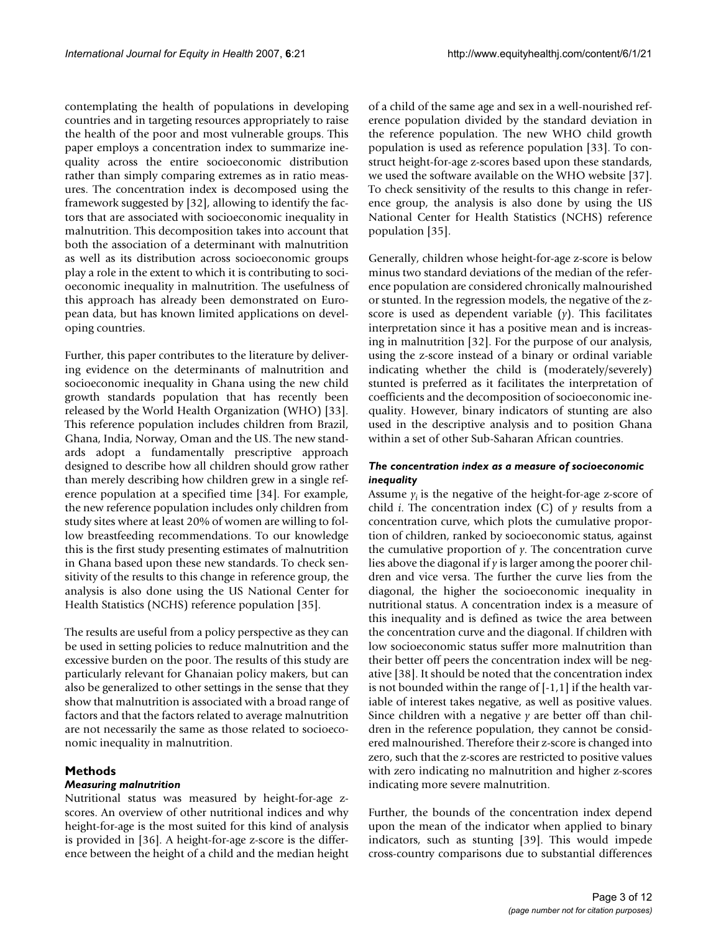contemplating the health of populations in developing countries and in targeting resources appropriately to raise the health of the poor and most vulnerable groups. This paper employs a concentration index to summarize inequality across the entire socioeconomic distribution rather than simply comparing extremes as in ratio measures. The concentration index is decomposed using the framework suggested by [32], allowing to identify the factors that are associated with socioeconomic inequality in malnutrition. This decomposition takes into account that both the association of a determinant with malnutrition as well as its distribution across socioeconomic groups play a role in the extent to which it is contributing to socioeconomic inequality in malnutrition. The usefulness of this approach has already been demonstrated on European data, but has known limited applications on developing countries.

Further, this paper contributes to the literature by delivering evidence on the determinants of malnutrition and socioeconomic inequality in Ghana using the new child growth standards population that has recently been released by the World Health Organization (WHO) [33]. This reference population includes children from Brazil, Ghana, India, Norway, Oman and the US. The new standards adopt a fundamentally prescriptive approach designed to describe how all children should grow rather than merely describing how children grew in a single reference population at a specified time [34]. For example, the new reference population includes only children from study sites where at least 20% of women are willing to follow breastfeeding recommendations. To our knowledge this is the first study presenting estimates of malnutrition in Ghana based upon these new standards. To check sensitivity of the results to this change in reference group, the analysis is also done using the US National Center for Health Statistics (NCHS) reference population [35].

The results are useful from a policy perspective as they can be used in setting policies to reduce malnutrition and the excessive burden on the poor. The results of this study are particularly relevant for Ghanaian policy makers, but can also be generalized to other settings in the sense that they show that malnutrition is associated with a broad range of factors and that the factors related to average malnutrition are not necessarily the same as those related to socioeconomic inequality in malnutrition.

## **Methods**

## *Measuring malnutrition*

Nutritional status was measured by height-for-age zscores. An overview of other nutritional indices and why height-for-age is the most suited for this kind of analysis is provided in [36]. A height-for-age z-score is the difference between the height of a child and the median height of a child of the same age and sex in a well-nourished reference population divided by the standard deviation in the reference population. The new WHO child growth population is used as reference population [33]. To construct height-for-age z-scores based upon these standards, we used the software available on the WHO website [37]. To check sensitivity of the results to this change in reference group, the analysis is also done by using the US National Center for Health Statistics (NCHS) reference population [35].

Generally, children whose height-for-age z-score is below minus two standard deviations of the median of the reference population are considered chronically malnourished or stunted. In the regression models, the negative of the zscore is used as dependent variable  $(y)$ . This facilitates interpretation since it has a positive mean and is increasing in malnutrition [32]. For the purpose of our analysis, using the z-score instead of a binary or ordinal variable indicating whether the child is (moderately/severely) stunted is preferred as it facilitates the interpretation of coefficients and the decomposition of socioeconomic inequality. However, binary indicators of stunting are also used in the descriptive analysis and to position Ghana within a set of other Sub-Saharan African countries.

# *The concentration index as a measure of socioeconomic inequality*

Assume  $y_i$  is the negative of the height-for-age z-score of child *i*. The concentration index (C) of *y* results from a concentration curve, which plots the cumulative proportion of children, ranked by socioeconomic status, against the cumulative proportion of *y*. The concentration curve lies above the diagonal if *y* is larger among the poorer children and vice versa. The further the curve lies from the diagonal, the higher the socioeconomic inequality in nutritional status. A concentration index is a measure of this inequality and is defined as twice the area between the concentration curve and the diagonal. If children with low socioeconomic status suffer more malnutrition than their better off peers the concentration index will be negative [38]. It should be noted that the concentration index is not bounded within the range of [-1,1] if the health variable of interest takes negative, as well as positive values. Since children with a negative *y* are better off than children in the reference population, they cannot be considered malnourished. Therefore their z-score is changed into zero, such that the z-scores are restricted to positive values with zero indicating no malnutrition and higher z-scores indicating more severe malnutrition.

Further, the bounds of the concentration index depend upon the mean of the indicator when applied to binary indicators, such as stunting [39]. This would impede cross-country comparisons due to substantial differences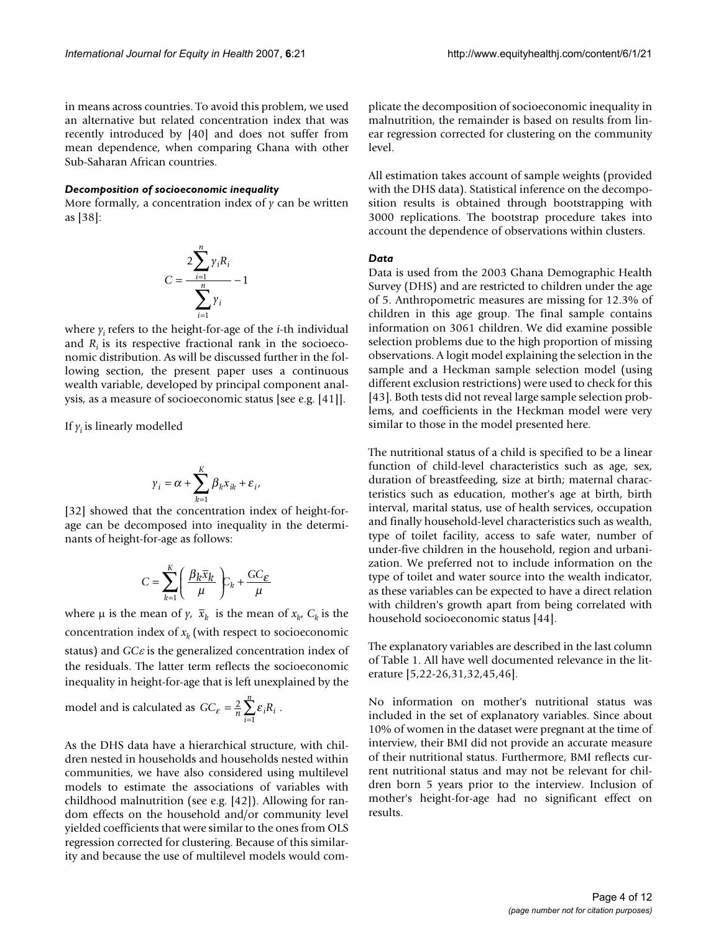in means across countries. To avoid this problem, we used an alternative but related concentration index that was recently introduced by [40] and does not suffer from mean dependence, when comparing Ghana with other Sub-Saharan African countries.

## *Decomposition of socioeconomic inequality*

More formally, a concentration index of  $y$  can be written as [38]:

$$
C = \frac{2\sum_{i=1}^{n} \gamma_i R_i}{\sum_{i=1}^{n} \gamma_i} - 1
$$

where *yi* refers to the height-for-age of the *i*-th individual and  $R_i$  is its respective fractional rank in the socioeconomic distribution. As will be discussed further in the following section, the present paper uses a continuous wealth variable, developed by principal component analysis, as a measure of socioeconomic status [see e.g. [41]].

If  $y_i$  is linearly modelled

$$
\gamma_i = \alpha + \sum_{k=1}^K \beta_k x_{ik} + \varepsilon_i,
$$

[32] showed that the concentration index of height-forage can be decomposed into inequality in the determinants of height-for-age as follows:

$$
C = \sum_{k=1}^{K} \left( \frac{\beta_k \overline{x}_k}{\mu} \right) C_k + \frac{GC_{\mathcal{E}}}{\mu}
$$

where  $\mu$  is the mean of  $\gamma$ ,  $\bar{x}_k$  is the mean of  $x_k$ ,  $C_k$  is the concentration index of  $x_k$  (with respect to socioeconomic status) and *GC*<sup>ε</sup> is the generalized concentration index of the residuals. The latter term reflects the socioeconomic inequality in height-for-age that is left unexplained by the

model and is calculated as 
$$
GC_{\varepsilon} = \frac{2}{n} \sum_{i=1}^{n} \varepsilon_i R_i
$$
.

As the DHS data have a hierarchical structure, with children nested in households and households nested within communities, we have also considered using multilevel models to estimate the associations of variables with childhood malnutrition (see e.g. [42]). Allowing for random effects on the household and/or community level yielded coefficients that were similar to the ones from OLS regression corrected for clustering. Because of this similarity and because the use of multilevel models would complicate the decomposition of socioeconomic inequality in malnutrition, the remainder is based on results from linear regression corrected for clustering on the community level.

All estimation takes account of sample weights (provided with the DHS data). Statistical inference on the decomposition results is obtained through bootstrapping with 3000 replications. The bootstrap procedure takes into account the dependence of observations within clusters.

## *Data*

Data is used from the 2003 Ghana Demographic Health Survey (DHS) and are restricted to children under the age of 5. Anthropometric measures are missing for 12.3% of children in this age group. The final sample contains information on 3061 children. We did examine possible selection problems due to the high proportion of missing observations. A logit model explaining the selection in the sample and a Heckman sample selection model (using different exclusion restrictions) were used to check for this [43]. Both tests did not reveal large sample selection problems, and coefficients in the Heckman model were very similar to those in the model presented here.

The nutritional status of a child is specified to be a linear function of child-level characteristics such as age, sex, duration of breastfeeding, size at birth; maternal characteristics such as education, mother's age at birth, birth interval, marital status, use of health services, occupation and finally household-level characteristics such as wealth, type of toilet facility, access to safe water, number of under-five children in the household, region and urbanization. We preferred not to include information on the type of toilet and water source into the wealth indicator, as these variables can be expected to have a direct relation with children's growth apart from being correlated with household socioeconomic status [44].

The explanatory variables are described in the last column of Table 1. All have well documented relevance in the literature [5,22-26,31,32,45,46].

No information on mother's nutritional status was included in the set of explanatory variables. Since about 10% of women in the dataset were pregnant at the time of interview, their BMI did not provide an accurate measure of their nutritional status. Furthermore, BMI reflects current nutritional status and may not be relevant for children born 5 years prior to the interview. Inclusion of mother's height-for-age had no significant effect on results.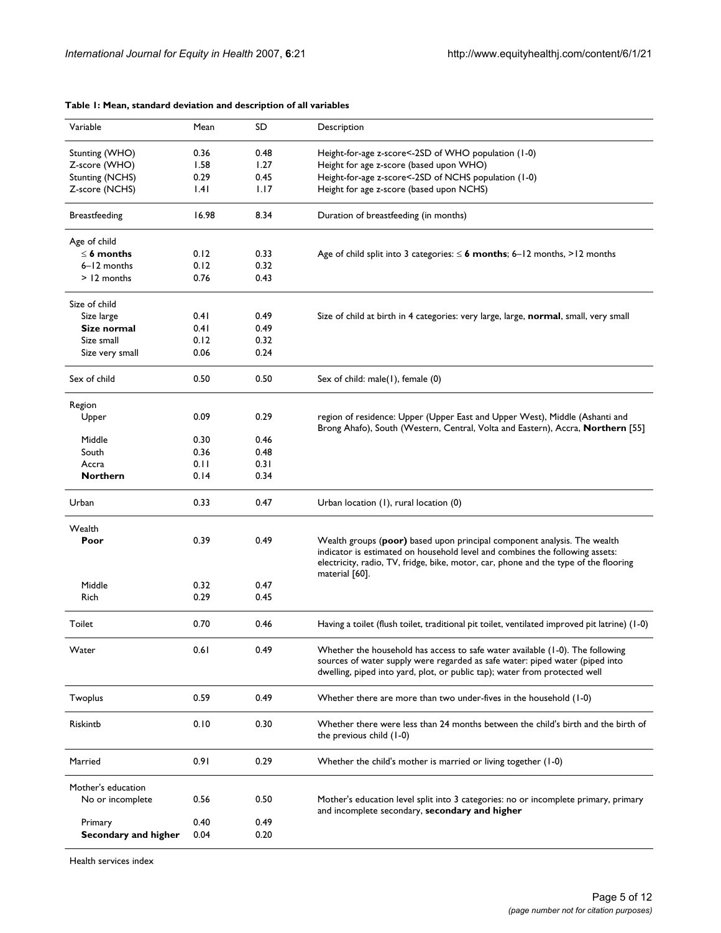| Variable                               | Mean  | SD   | Description                                                                                                                                                                                                                                                        |  |
|----------------------------------------|-------|------|--------------------------------------------------------------------------------------------------------------------------------------------------------------------------------------------------------------------------------------------------------------------|--|
| Stunting (WHO)                         | 0.36  | 0.48 | Height-for-age z-score<-2SD of WHO population (1-0)                                                                                                                                                                                                                |  |
| Z-score (WHO)                          | 1.58  | 1.27 | Height for age z-score (based upon WHO)                                                                                                                                                                                                                            |  |
| <b>Stunting (NCHS)</b>                 | 0.29  | 0.45 | Height-for-age z-score<-2SD of NCHS population (1-0)                                                                                                                                                                                                               |  |
| Z-score (NCHS)                         | .4    | 1.17 | Height for age z-score (based upon NCHS)                                                                                                                                                                                                                           |  |
| <b>Breastfeeding</b>                   | 16.98 | 8.34 | Duration of breastfeeding (in months)                                                                                                                                                                                                                              |  |
| Age of child                           |       |      |                                                                                                                                                                                                                                                                    |  |
| $\leq$ 6 months                        | 0.12  | 0.33 | Age of child split into 3 categories: $\leq 6$ months; 6-12 months, >12 months                                                                                                                                                                                     |  |
| 6-12 months                            | 0.12  | 0.32 |                                                                                                                                                                                                                                                                    |  |
| $> 12$ months                          | 0.76  | 0.43 |                                                                                                                                                                                                                                                                    |  |
| Size of child                          |       |      |                                                                                                                                                                                                                                                                    |  |
| Size large                             | 0.41  | 0.49 | Size of child at birth in 4 categories: very large, large, normal, small, very small                                                                                                                                                                               |  |
| Size normal                            | 0.41  | 0.49 |                                                                                                                                                                                                                                                                    |  |
| Size small                             | 0.12  | 0.32 |                                                                                                                                                                                                                                                                    |  |
| Size very small                        | 0.06  | 0.24 |                                                                                                                                                                                                                                                                    |  |
| Sex of child                           | 0.50  | 0.50 | Sex of child: male(1), female (0)                                                                                                                                                                                                                                  |  |
| Region                                 |       |      |                                                                                                                                                                                                                                                                    |  |
| Upper                                  | 0.09  | 0.29 | region of residence: Upper (Upper East and Upper West), Middle (Ashanti and<br>Brong Ahafo), South (Western, Central, Volta and Eastern), Accra, Northern [55]                                                                                                     |  |
| Middle                                 | 0.30  | 0.46 |                                                                                                                                                                                                                                                                    |  |
| South                                  | 0.36  | 0.48 |                                                                                                                                                                                                                                                                    |  |
| Accra                                  | 0.11  | 0.31 |                                                                                                                                                                                                                                                                    |  |
| Northern                               | 0.14  | 0.34 |                                                                                                                                                                                                                                                                    |  |
| Urban                                  | 0.33  | 0.47 | Urban location (1), rural location (0)                                                                                                                                                                                                                             |  |
| Wealth                                 |       |      |                                                                                                                                                                                                                                                                    |  |
| Poor                                   | 0.39  | 0.49 | Wealth groups (poor) based upon principal component analysis. The wealth<br>indicator is estimated on household level and combines the following assets:<br>electricity, radio, TV, fridge, bike, motor, car, phone and the type of the flooring<br>material [60]. |  |
| Middle                                 | 0.32  | 0.47 |                                                                                                                                                                                                                                                                    |  |
| Rich                                   | 0.29  | 0.45 |                                                                                                                                                                                                                                                                    |  |
| Toilet                                 | 0.70  | 0.46 | Having a toilet (flush toilet, traditional pit toilet, ventilated improved pit latrine) (1-0)                                                                                                                                                                      |  |
| Water                                  | 0.61  | 0.49 | Whether the household has access to safe water available (1-0). The following<br>sources of water supply were regarded as safe water: piped water (piped into<br>dwelling, piped into yard, plot, or public tap); water from protected well                        |  |
| Twoplus                                | 0.59  | 0.49 | Whether there are more than two under-fives in the household (1-0)                                                                                                                                                                                                 |  |
| <b>Riskintb</b>                        | 0.10  | 0.30 | Whether there were less than 24 months between the child's birth and the birth of<br>the previous child (1-0)                                                                                                                                                      |  |
| Married                                | 0.91  | 0.29 | Whether the child's mother is married or living together (1-0)                                                                                                                                                                                                     |  |
|                                        |       |      |                                                                                                                                                                                                                                                                    |  |
| Mother's education<br>No or incomplete | 0.56  | 0.50 | Mother's education level split into 3 categories: no or incomplete primary, primary                                                                                                                                                                                |  |
|                                        |       |      | and incomplete secondary, secondary and higher                                                                                                                                                                                                                     |  |
| Primary                                | 0.40  | 0.49 |                                                                                                                                                                                                                                                                    |  |
| Secondary and higher                   | 0.04  | 0.20 |                                                                                                                                                                                                                                                                    |  |

**Table 1: Mean, standard deviation and description of all variables**

Health services index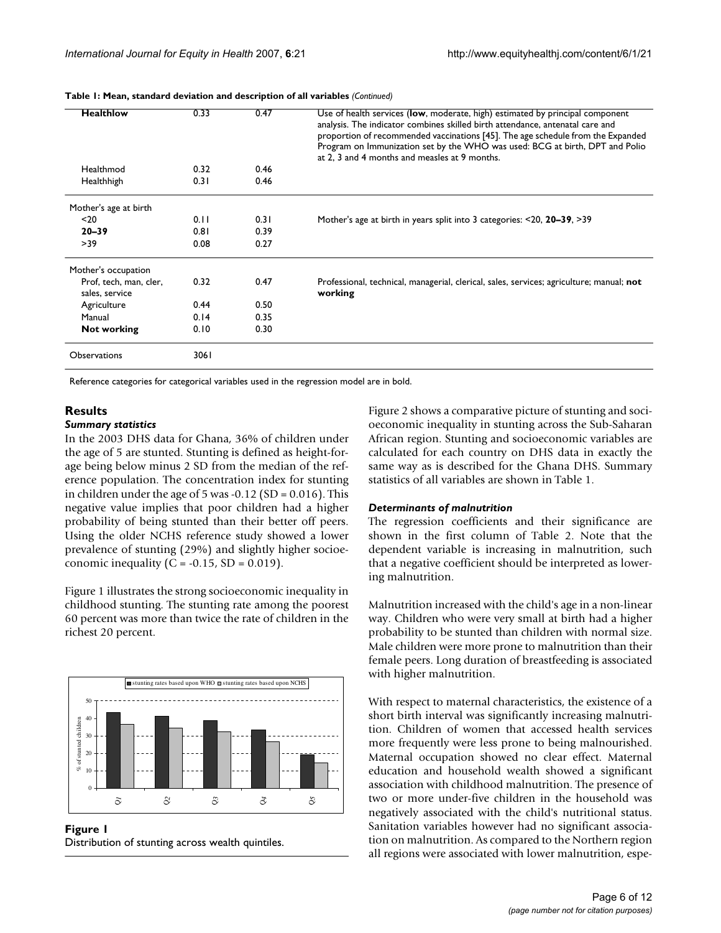| <b>Healthlow</b>                         | 0.33 | 0.47 | Use of health services (low, moderate, high) estimated by principal component<br>analysis. The indicator combines skilled birth attendance, antenatal care and<br>proportion of recommended vaccinations [45]. The age schedule from the Expanded<br>Program on Immunization set by the WHO was used: BCG at birth, DPT and Polio<br>at 2, 3 and 4 months and measles at 9 months. |
|------------------------------------------|------|------|------------------------------------------------------------------------------------------------------------------------------------------------------------------------------------------------------------------------------------------------------------------------------------------------------------------------------------------------------------------------------------|
| Healthmod                                | 0.32 | 0.46 |                                                                                                                                                                                                                                                                                                                                                                                    |
| Healthhigh                               | 0.31 | 0.46 |                                                                                                                                                                                                                                                                                                                                                                                    |
| Mother's age at birth                    |      |      |                                                                                                                                                                                                                                                                                                                                                                                    |
| $20$                                     | 0.11 | 0.31 | Mother's age at birth in years split into 3 categories: <20, 20-39, >39                                                                                                                                                                                                                                                                                                            |
| $20 - 39$                                | 0.81 | 0.39 |                                                                                                                                                                                                                                                                                                                                                                                    |
| >39                                      | 0.08 | 0.27 |                                                                                                                                                                                                                                                                                                                                                                                    |
| Mother's occupation                      |      |      |                                                                                                                                                                                                                                                                                                                                                                                    |
| Prof, tech, man, cler,<br>sales, service | 0.32 | 0.47 | Professional, technical, managerial, clerical, sales, services; agriculture; manual; not<br>working                                                                                                                                                                                                                                                                                |
| Agriculture                              | 0.44 | 0.50 |                                                                                                                                                                                                                                                                                                                                                                                    |
| Manual                                   | 0.14 | 0.35 |                                                                                                                                                                                                                                                                                                                                                                                    |
| Not working                              | 0.10 | 0.30 |                                                                                                                                                                                                                                                                                                                                                                                    |
| <b>Observations</b>                      | 3061 |      |                                                                                                                                                                                                                                                                                                                                                                                    |

#### **Table 1: Mean, standard deviation and description of all variables** *(Continued)*

Reference categories for categorical variables used in the regression model are in bold.

# **Results**

# *Summary statistics*

In the 2003 DHS data for Ghana, 36% of children under the age of 5 are stunted. Stunting is defined as height-forage being below minus 2 SD from the median of the reference population. The concentration index for stunting in children under the age of 5 was  $-0.12$  (SD = 0.016). This negative value implies that poor children had a higher probability of being stunted than their better off peers. Using the older NCHS reference study showed a lower prevalence of stunting (29%) and slightly higher socioeconomic inequality ( $C = -0.15$ ,  $SD = 0.019$ ).

Figure 1 illustrates the strong socioeconomic inequality in childhood stunting. The stunting rate among the poorest 60 percent was more than twice the rate of children in the richest 20 percent.



Figure 1 Distribution of stunting across wealth quintiles.

Figure 2 shows a comparative picture of stunting and socioeconomic inequality in stunting across the Sub-Saharan African region. Stunting and socioeconomic variables are calculated for each country on DHS data in exactly the same way as is described for the Ghana DHS. Summary statistics of all variables are shown in Table 1.

# *Determinants of malnutrition*

The regression coefficients and their significance are shown in the first column of Table 2. Note that the dependent variable is increasing in malnutrition, such that a negative coefficient should be interpreted as lowering malnutrition.

Malnutrition increased with the child's age in a non-linear way. Children who were very small at birth had a higher probability to be stunted than children with normal size. Male children were more prone to malnutrition than their female peers. Long duration of breastfeeding is associated with higher malnutrition.

With respect to maternal characteristics, the existence of a short birth interval was significantly increasing malnutrition. Children of women that accessed health services more frequently were less prone to being malnourished. Maternal occupation showed no clear effect. Maternal education and household wealth showed a significant association with childhood malnutrition. The presence of two or more under-five children in the household was negatively associated with the child's nutritional status. Sanitation variables however had no significant association on malnutrition. As compared to the Northern region all regions were associated with lower malnutrition, espe-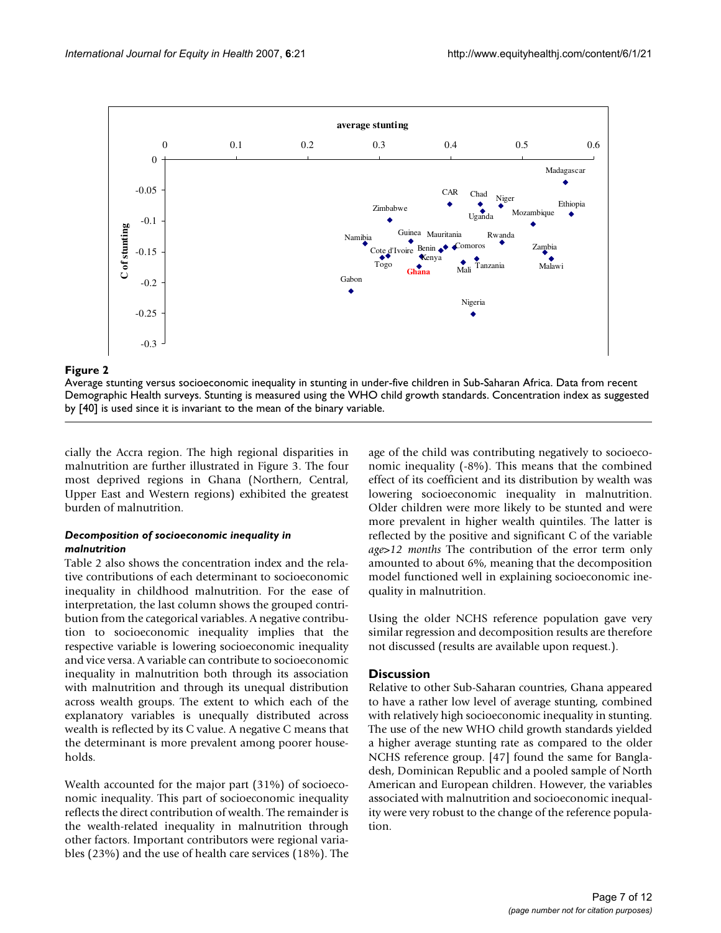

## Average stunting versus socioeconomic inequality in st **Figure 2** unting in under-five children in Sub-Saharan Africa

Average stunting versus socioeconomic inequality in stunting in under-five children in Sub-Saharan Africa. Data from recent Demographic Health surveys. Stunting is measured using the WHO child growth standards. Concentration index as suggested by [40] is used since it is invariant to the mean of the binary variable.

cially the Accra region. The high regional disparities in malnutrition are further illustrated in Figure 3. The four most deprived regions in Ghana (Northern, Central, Upper East and Western regions) exhibited the greatest burden of malnutrition.

# *Decomposition of socioeconomic inequality in malnutrition*

Table 2 also shows the concentration index and the relative contributions of each determinant to socioeconomic inequality in childhood malnutrition. For the ease of interpretation, the last column shows the grouped contribution from the categorical variables. A negative contribution to socioeconomic inequality implies that the respective variable is lowering socioeconomic inequality and vice versa. A variable can contribute to socioeconomic inequality in malnutrition both through its association with malnutrition and through its unequal distribution across wealth groups. The extent to which each of the explanatory variables is unequally distributed across wealth is reflected by its C value. A negative C means that the determinant is more prevalent among poorer households.

Wealth accounted for the major part (31%) of socioeconomic inequality. This part of socioeconomic inequality reflects the direct contribution of wealth. The remainder is the wealth-related inequality in malnutrition through other factors. Important contributors were regional variables (23%) and the use of health care services (18%). The age of the child was contributing negatively to socioeconomic inequality (-8%). This means that the combined effect of its coefficient and its distribution by wealth was lowering socioeconomic inequality in malnutrition. Older children were more likely to be stunted and were more prevalent in higher wealth quintiles. The latter is reflected by the positive and significant C of the variable *age*>*12 months* The contribution of the error term only amounted to about 6%, meaning that the decomposition model functioned well in explaining socioeconomic inequality in malnutrition.

Using the older NCHS reference population gave very similar regression and decomposition results are therefore not discussed (results are available upon request.).

# **Discussion**

Relative to other Sub-Saharan countries, Ghana appeared to have a rather low level of average stunting, combined with relatively high socioeconomic inequality in stunting. The use of the new WHO child growth standards yielded a higher average stunting rate as compared to the older NCHS reference group. [47] found the same for Bangladesh, Dominican Republic and a pooled sample of North American and European children. However, the variables associated with malnutrition and socioeconomic inequality were very robust to the change of the reference population.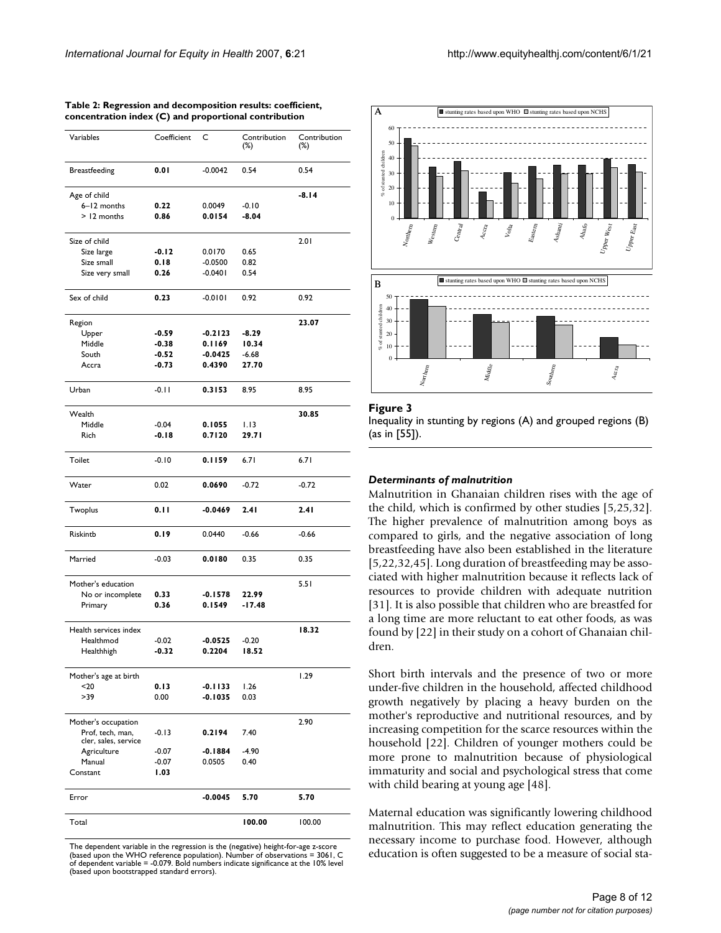| Variables                       |             |           |                        |                        |
|---------------------------------|-------------|-----------|------------------------|------------------------|
|                                 | Coefficient | C         | Contribution<br>$(\%)$ | Contribution<br>$(\%)$ |
| <b>Breastfeeding</b>            | 0.01        | $-0.0042$ | 0.54                   | 0.54                   |
| Age of child                    |             |           |                        | $-8.14$                |
| 6-12 months                     | 0.22        | 0.0049    | $-0.10$                |                        |
| $> 12$ months                   | 0.86        | 0.0154    | $-8.04$                |                        |
|                                 |             |           |                        |                        |
| Size of child                   |             |           |                        | 2.01                   |
| Size large                      | $-0.12$     | 0.0170    | 0.65                   |                        |
| Size small                      | 0.18        | $-0.0500$ | 0.82                   |                        |
| Size very small                 | 0.26        | $-0.0401$ | 0.54                   |                        |
|                                 |             |           |                        |                        |
| Sex of child                    | 0.23        | $-0.0101$ | 0.92                   | 0.92                   |
| Region                          |             |           |                        | 23.07                  |
| Upper                           | $-0.59$     | $-0.2123$ | $-8.29$                |                        |
| Middle                          | $-0.38$     | 0.1169    | 10.34                  |                        |
| South                           | $-0.52$     | $-0.0425$ | $-6.68$                |                        |
| Accra                           | $-0.73$     | 0.4390    | 27.70                  |                        |
| Urban                           | $-0.11$     | 0.3153    | 8.95                   | 8.95                   |
|                                 |             |           |                        |                        |
| Wealth                          |             |           |                        | 30.85                  |
| Middle                          | $-0.04$     | 0.1055    | 1.13                   |                        |
| <b>Rich</b>                     | $-0.18$     | 0.7120    | 29.71                  |                        |
| Toilet                          | $-0.10$     | 0.1159    | 6.71                   | 6.71                   |
| Water                           | 0.02        | 0.0690    | $-0.72$                | $-0.72$                |
| Twoplus                         | 0. I I      | $-0.0469$ | 2.41                   | 2.41                   |
| Riskintb                        | 0.19        | 0.0440    | $-0.66$                | $-0.66$                |
| Married                         | $-0.03$     | 0.0180    | 0.35                   | 0.35                   |
|                                 |             |           |                        |                        |
| Mother's education              |             |           |                        | 5.51                   |
| No or incomplete                | 0.33        | $-0.1578$ | 22.99                  |                        |
| Primary                         | 0.36        | 0.1549    | -17.48                 |                        |
| Health services index           |             |           |                        | 18.32                  |
| Healthmod                       | $-0.02$     | $-0.0525$ | $-0.20$                |                        |
| Healthhigh                      | -0.32       | 0.2204    | 18.52                  |                        |
|                                 |             |           |                        |                        |
| Mother's age at birth           |             |           |                        | 1.29                   |
|                                 | 0.13        | $-0.1133$ | 1.26                   |                        |
| $20$                            | 0.00        | $-0.1035$ | 0.03                   |                        |
| >39                             |             |           |                        |                        |
|                                 |             |           |                        | 2.90                   |
| Prof, tech, man,                | $-0.13$     | 0.2194    | 7.40                   |                        |
| cler, sales, service            |             |           |                        |                        |
| Agriculture                     | $-0.07$     | $-0.1884$ | -4.90                  |                        |
| Manual                          | $-0.07$     | 0.0505    | 0.40                   |                        |
| Mother's occupation<br>Constant | 1.03        |           |                        |                        |
| Error                           |             | $-0.0045$ | 5.70                   | 5.70                   |

**Table 2: Regression and decomposition results: coefficient, concentration index (C) and proportional contribution**

The dependent variable in the regression is the (negative) height-for-age z-score<br>(based upon the WHO reference population). Number of observations = 306 I, C<br>of dependent variable = -0.079. Bold numbers indicate significa (based upon bootstrapped standard errors).



## **Figure 3**

Inequality in stunting by regions (A) and grouped regions (B) (as in [55]).

## *Determinants of malnutrition*

Malnutrition in Ghanaian children rises with the age of the child, which is confirmed by other studies [5,25,32]. The higher prevalence of malnutrition among boys as compared to girls, and the negative association of long breastfeeding have also been established in the literature [5,22,32,45]. Long duration of breastfeeding may be associated with higher malnutrition because it reflects lack of resources to provide children with adequate nutrition [31]. It is also possible that children who are breastfed for a long time are more reluctant to eat other foods, as was found by [22] in their study on a cohort of Ghanaian children.

Short birth intervals and the presence of two or more under-five children in the household, affected childhood growth negatively by placing a heavy burden on the mother's reproductive and nutritional resources, and by increasing competition for the scarce resources within the household [22]. Children of younger mothers could be more prone to malnutrition because of physiological immaturity and social and psychological stress that come with child bearing at young age [48].

Maternal education was significantly lowering childhood malnutrition. This may reflect education generating the necessary income to purchase food. However, although education is often suggested to be a measure of social sta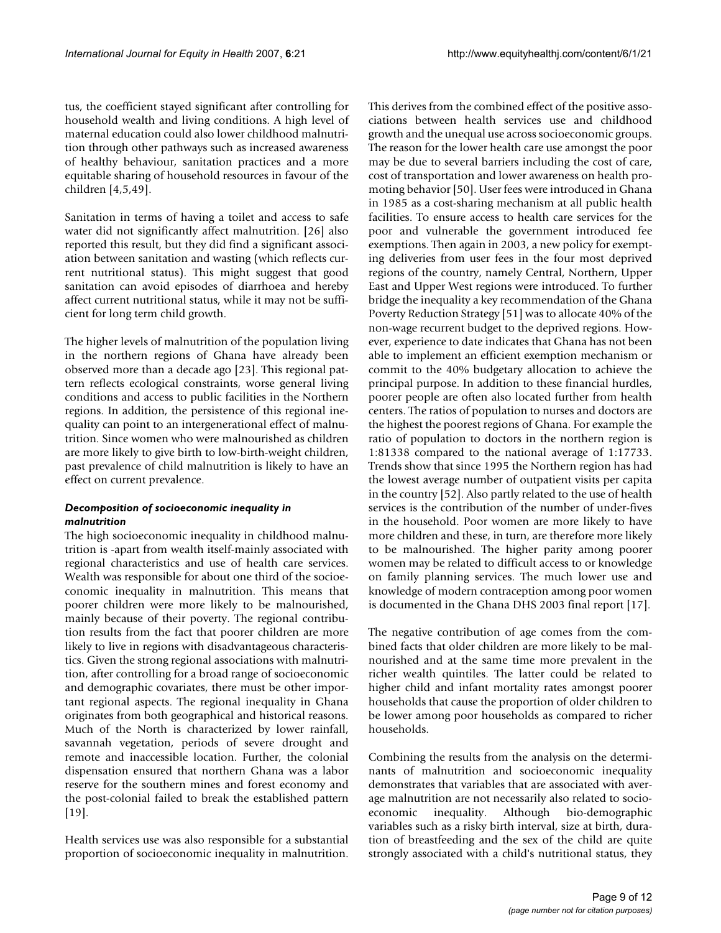tus, the coefficient stayed significant after controlling for household wealth and living conditions. A high level of maternal education could also lower childhood malnutrition through other pathways such as increased awareness of healthy behaviour, sanitation practices and a more equitable sharing of household resources in favour of the children [4,5,49].

Sanitation in terms of having a toilet and access to safe water did not significantly affect malnutrition. [26] also reported this result, but they did find a significant association between sanitation and wasting (which reflects current nutritional status). This might suggest that good sanitation can avoid episodes of diarrhoea and hereby affect current nutritional status, while it may not be sufficient for long term child growth.

The higher levels of malnutrition of the population living in the northern regions of Ghana have already been observed more than a decade ago [23]. This regional pattern reflects ecological constraints, worse general living conditions and access to public facilities in the Northern regions. In addition, the persistence of this regional inequality can point to an intergenerational effect of malnutrition. Since women who were malnourished as children are more likely to give birth to low-birth-weight children, past prevalence of child malnutrition is likely to have an effect on current prevalence.

# *Decomposition of socioeconomic inequality in malnutrition*

The high socioeconomic inequality in childhood malnutrition is -apart from wealth itself-mainly associated with regional characteristics and use of health care services. Wealth was responsible for about one third of the socioeconomic inequality in malnutrition. This means that poorer children were more likely to be malnourished, mainly because of their poverty. The regional contribution results from the fact that poorer children are more likely to live in regions with disadvantageous characteristics. Given the strong regional associations with malnutrition, after controlling for a broad range of socioeconomic and demographic covariates, there must be other important regional aspects. The regional inequality in Ghana originates from both geographical and historical reasons. Much of the North is characterized by lower rainfall, savannah vegetation, periods of severe drought and remote and inaccessible location. Further, the colonial dispensation ensured that northern Ghana was a labor reserve for the southern mines and forest economy and the post-colonial failed to break the established pattern [19].

Health services use was also responsible for a substantial proportion of socioeconomic inequality in malnutrition.

This derives from the combined effect of the positive associations between health services use and childhood growth and the unequal use across socioeconomic groups. The reason for the lower health care use amongst the poor may be due to several barriers including the cost of care, cost of transportation and lower awareness on health promoting behavior [50]. User fees were introduced in Ghana in 1985 as a cost-sharing mechanism at all public health facilities. To ensure access to health care services for the poor and vulnerable the government introduced fee exemptions. Then again in 2003, a new policy for exempting deliveries from user fees in the four most deprived regions of the country, namely Central, Northern, Upper East and Upper West regions were introduced. To further bridge the inequality a key recommendation of the Ghana Poverty Reduction Strategy [51] was to allocate 40% of the non-wage recurrent budget to the deprived regions. However, experience to date indicates that Ghana has not been able to implement an efficient exemption mechanism or commit to the 40% budgetary allocation to achieve the principal purpose. In addition to these financial hurdles, poorer people are often also located further from health centers. The ratios of population to nurses and doctors are the highest the poorest regions of Ghana. For example the ratio of population to doctors in the northern region is 1:81338 compared to the national average of 1:17733. Trends show that since 1995 the Northern region has had the lowest average number of outpatient visits per capita in the country [52]. Also partly related to the use of health services is the contribution of the number of under-fives in the household. Poor women are more likely to have more children and these, in turn, are therefore more likely to be malnourished. The higher parity among poorer women may be related to difficult access to or knowledge on family planning services. The much lower use and knowledge of modern contraception among poor women is documented in the Ghana DHS 2003 final report [17].

The negative contribution of age comes from the combined facts that older children are more likely to be malnourished and at the same time more prevalent in the richer wealth quintiles. The latter could be related to higher child and infant mortality rates amongst poorer households that cause the proportion of older children to be lower among poor households as compared to richer households.

Combining the results from the analysis on the determinants of malnutrition and socioeconomic inequality demonstrates that variables that are associated with average malnutrition are not necessarily also related to socioeconomic inequality. Although bio-demographic variables such as a risky birth interval, size at birth, duration of breastfeeding and the sex of the child are quite strongly associated with a child's nutritional status, they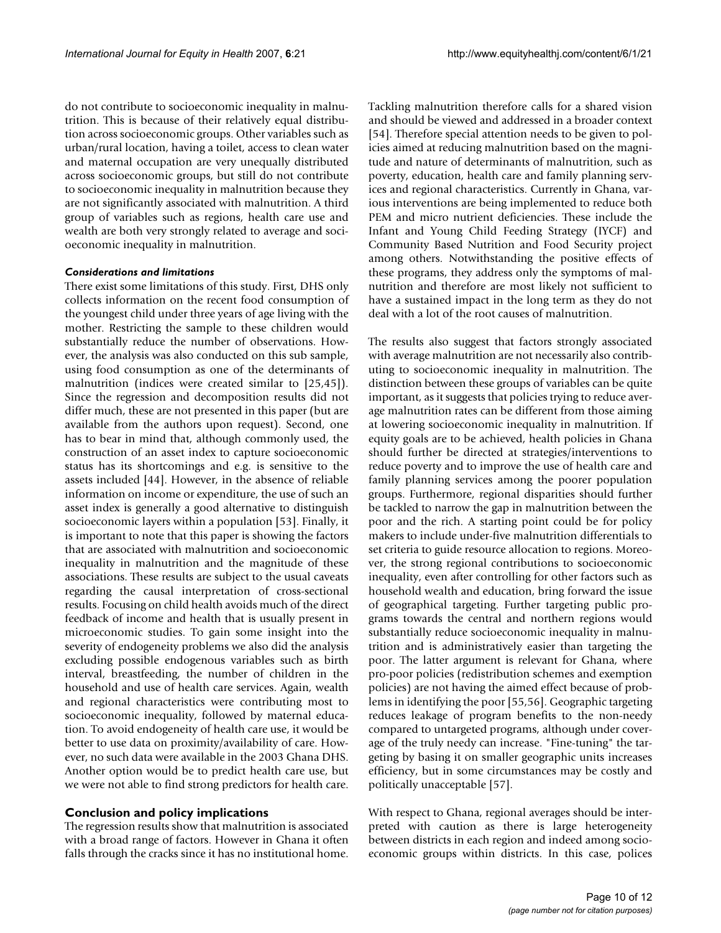do not contribute to socioeconomic inequality in malnutrition. This is because of their relatively equal distribution across socioeconomic groups. Other variables such as urban/rural location, having a toilet, access to clean water and maternal occupation are very unequally distributed across socioeconomic groups, but still do not contribute to socioeconomic inequality in malnutrition because they are not significantly associated with malnutrition. A third group of variables such as regions, health care use and wealth are both very strongly related to average and socioeconomic inequality in malnutrition.

#### *Considerations and limitations*

There exist some limitations of this study. First, DHS only collects information on the recent food consumption of the youngest child under three years of age living with the mother. Restricting the sample to these children would substantially reduce the number of observations. However, the analysis was also conducted on this sub sample, using food consumption as one of the determinants of malnutrition (indices were created similar to [25,45]). Since the regression and decomposition results did not differ much, these are not presented in this paper (but are available from the authors upon request). Second, one has to bear in mind that, although commonly used, the construction of an asset index to capture socioeconomic status has its shortcomings and e.g. is sensitive to the assets included [44]. However, in the absence of reliable information on income or expenditure, the use of such an asset index is generally a good alternative to distinguish socioeconomic layers within a population [53]. Finally, it is important to note that this paper is showing the factors that are associated with malnutrition and socioeconomic inequality in malnutrition and the magnitude of these associations. These results are subject to the usual caveats regarding the causal interpretation of cross-sectional results. Focusing on child health avoids much of the direct feedback of income and health that is usually present in microeconomic studies. To gain some insight into the severity of endogeneity problems we also did the analysis excluding possible endogenous variables such as birth interval, breastfeeding, the number of children in the household and use of health care services. Again, wealth and regional characteristics were contributing most to socioeconomic inequality, followed by maternal education. To avoid endogeneity of health care use, it would be better to use data on proximity/availability of care. However, no such data were available in the 2003 Ghana DHS. Another option would be to predict health care use, but we were not able to find strong predictors for health care.

#### **Conclusion and policy implications**

The regression results show that malnutrition is associated with a broad range of factors. However in Ghana it often falls through the cracks since it has no institutional home.

Tackling malnutrition therefore calls for a shared vision and should be viewed and addressed in a broader context [54]. Therefore special attention needs to be given to policies aimed at reducing malnutrition based on the magnitude and nature of determinants of malnutrition, such as poverty, education, health care and family planning services and regional characteristics. Currently in Ghana, various interventions are being implemented to reduce both PEM and micro nutrient deficiencies. These include the Infant and Young Child Feeding Strategy (IYCF) and Community Based Nutrition and Food Security project among others. Notwithstanding the positive effects of these programs, they address only the symptoms of malnutrition and therefore are most likely not sufficient to have a sustained impact in the long term as they do not deal with a lot of the root causes of malnutrition.

The results also suggest that factors strongly associated with average malnutrition are not necessarily also contributing to socioeconomic inequality in malnutrition. The distinction between these groups of variables can be quite important, as it suggests that policies trying to reduce average malnutrition rates can be different from those aiming at lowering socioeconomic inequality in malnutrition. If equity goals are to be achieved, health policies in Ghana should further be directed at strategies/interventions to reduce poverty and to improve the use of health care and family planning services among the poorer population groups. Furthermore, regional disparities should further be tackled to narrow the gap in malnutrition between the poor and the rich. A starting point could be for policy makers to include under-five malnutrition differentials to set criteria to guide resource allocation to regions. Moreover, the strong regional contributions to socioeconomic inequality, even after controlling for other factors such as household wealth and education, bring forward the issue of geographical targeting. Further targeting public programs towards the central and northern regions would substantially reduce socioeconomic inequality in malnutrition and is administratively easier than targeting the poor. The latter argument is relevant for Ghana, where pro-poor policies (redistribution schemes and exemption policies) are not having the aimed effect because of problems in identifying the poor [55,56]. Geographic targeting reduces leakage of program benefits to the non-needy compared to untargeted programs, although under coverage of the truly needy can increase. "Fine-tuning" the targeting by basing it on smaller geographic units increases efficiency, but in some circumstances may be costly and politically unacceptable [57].

With respect to Ghana, regional averages should be interpreted with caution as there is large heterogeneity between districts in each region and indeed among socioeconomic groups within districts. In this case, polices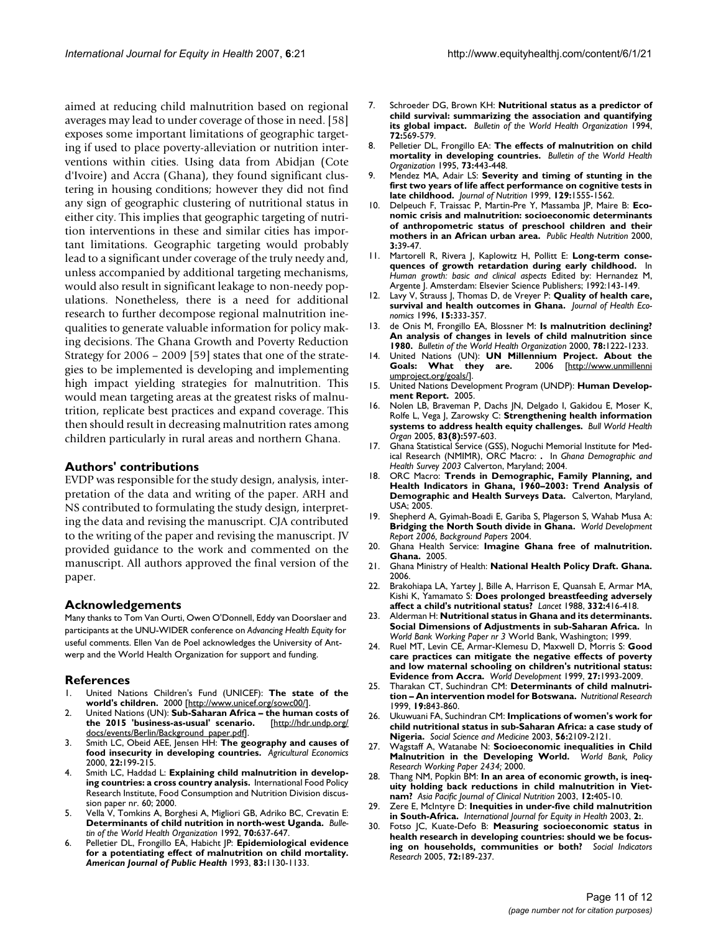aimed at reducing child malnutrition based on regional averages may lead to under coverage of those in need. [58] exposes some important limitations of geographic targeting if used to place poverty-alleviation or nutrition interventions within cities. Using data from Abidjan (Cote d'Ivoire) and Accra (Ghana), they found significant clustering in housing conditions; however they did not find any sign of geographic clustering of nutritional status in either city. This implies that geographic targeting of nutrition interventions in these and similar cities has important limitations. Geographic targeting would probably lead to a significant under coverage of the truly needy and, unless accompanied by additional targeting mechanisms, would also result in significant leakage to non-needy populations. Nonetheless, there is a need for additional research to further decompose regional malnutrition inequalities to generate valuable information for policy making decisions. The Ghana Growth and Poverty Reduction Strategy for 2006 – 2009 [59] states that one of the strategies to be implemented is developing and implementing high impact yielding strategies for malnutrition. This would mean targeting areas at the greatest risks of malnutrition, replicate best practices and expand coverage. This then should result in decreasing malnutrition rates among children particularly in rural areas and northern Ghana.

## **Authors' contributions**

EVDP was responsible for the study design, analysis, interpretation of the data and writing of the paper. ARH and NS contributed to formulating the study design, interpreting the data and revising the manuscript. CJA contributed to the writing of the paper and revising the manuscript. JV provided guidance to the work and commented on the manuscript. All authors approved the final version of the paper.

#### **Acknowledgements**

Many thanks to Tom Van Ourti, Owen O'Donnell, Eddy van Doorslaer and participants at the UNU-WIDER conference on *Advancing Health Equity* for useful comments. Ellen Van de Poel acknowledges the University of Antwerp and the World Health Organization for support and funding.

#### **References**

- 1. United Nations Children's Fund (UNICEF): **The state of the world's children.** 2000 [<http://www.unicef.org/sowc00/>].
- 2. United Nations (UN): **Sub-Saharan Africa the human costs of** the 2015 'business-as-usual' scenario. [docs/events/Berlin/Background\\_paper.pdf](http://hdr.undp.org/docs/events/Berlin/Background_paper.pdf)].
- 3. Smith LC, Obeid AEE, Jensen HH: **The geography and causes of food insecurity in developing countries.** *Agricultural Economics* 2000, **22:**199-215.
- 4. Smith LC, Haddad L: **Explaining child malnutrition in developing countries: a cross country analysis.** International Food Policy Research Institute, Food Consumption and Nutrition Division discussion paper nr. 60; 2000.
- 5. Vella V, Tomkins A, Borghesi A, Migliori GB, Adriko BC, Crevatin E: **[Determinants of child nutrition in north-west Uganda.](http://www.ncbi.nlm.nih.gov/entrez/query.fcgi?cmd=Retrieve&db=PubMed&dopt=Abstract&list_uids=1464151)** *Bulletin of the World Health Organization* 1992, **70:**637-647.
- 6. Pelletier DL, Frongillo EA, Habicht JP: **[Epidemiological evidence](http://www.ncbi.nlm.nih.gov/entrez/query.fcgi?cmd=Retrieve&db=PubMed&dopt=Abstract&list_uids=8342721) [for a potentiating effect of malnutrition on child mortality.](http://www.ncbi.nlm.nih.gov/entrez/query.fcgi?cmd=Retrieve&db=PubMed&dopt=Abstract&list_uids=8342721)** *American Journal of Public Health* 1993, **83:**1130-1133.
- 7. Schroeder DG, Brown KH: **[Nutritional status as a predictor of](http://www.ncbi.nlm.nih.gov/entrez/query.fcgi?cmd=Retrieve&db=PubMed&dopt=Abstract&list_uids=7923536) [child survival: summarizing the association and quantifying](http://www.ncbi.nlm.nih.gov/entrez/query.fcgi?cmd=Retrieve&db=PubMed&dopt=Abstract&list_uids=7923536) [its global impact.](http://www.ncbi.nlm.nih.gov/entrez/query.fcgi?cmd=Retrieve&db=PubMed&dopt=Abstract&list_uids=7923536)** *Bulletin of the World Health Organization* 1994, **72:**569-579.
- 8. Pelletier DL, Frongillo EA: **[The effects of malnutrition on child](http://www.ncbi.nlm.nih.gov/entrez/query.fcgi?cmd=Retrieve&db=PubMed&dopt=Abstract&list_uids=7554015) [mortality in developing countries.](http://www.ncbi.nlm.nih.gov/entrez/query.fcgi?cmd=Retrieve&db=PubMed&dopt=Abstract&list_uids=7554015)** *Bulletin of the World Health Organization* 1995, **73:**443-448.
- 9. Mendez MA, Adair LS: **[Severity and timing of stunting in the](http://www.ncbi.nlm.nih.gov/entrez/query.fcgi?cmd=Retrieve&db=PubMed&dopt=Abstract&list_uids=10419990) [first two years of life affect performance on cognitive tests in](http://www.ncbi.nlm.nih.gov/entrez/query.fcgi?cmd=Retrieve&db=PubMed&dopt=Abstract&list_uids=10419990) [late childhood.](http://www.ncbi.nlm.nih.gov/entrez/query.fcgi?cmd=Retrieve&db=PubMed&dopt=Abstract&list_uids=10419990)** *Journal of Nutrition* 1999, **129:**1555-1562.
- 10. Delpeuch F, Traissac P, Martin-Pre Y, Massamba JP, Maire B: **[Eco](http://www.ncbi.nlm.nih.gov/entrez/query.fcgi?cmd=Retrieve&db=PubMed&dopt=Abstract&list_uids=10786722)[nomic crisis and malnutrition: socioeconomic determinants](http://www.ncbi.nlm.nih.gov/entrez/query.fcgi?cmd=Retrieve&db=PubMed&dopt=Abstract&list_uids=10786722) of anthropometric status of preschool children and their [mothers in an African urban area.](http://www.ncbi.nlm.nih.gov/entrez/query.fcgi?cmd=Retrieve&db=PubMed&dopt=Abstract&list_uids=10786722)** *Public Health Nutrition* 2000, **3:**39-47.
- 11. Martorell R, Rivera J, Kaplowitz H, Pollitt E: **Long-term consequences of growth retardation during early childhood.** In *Human growth: basic and clinical aspects* Edited by: Hernandez M, Argente J. Amsterdam: Elsevier Science Publishers; 1992:143-149.
- 12. Lavy V, Strauss J, Thomas D, de Vreyer P: **[Quality of health care,](http://www.ncbi.nlm.nih.gov/entrez/query.fcgi?cmd=Retrieve&db=PubMed&dopt=Abstract&list_uids=10159445) [survival and health outcomes in Ghana.](http://www.ncbi.nlm.nih.gov/entrez/query.fcgi?cmd=Retrieve&db=PubMed&dopt=Abstract&list_uids=10159445)** *Journal of Health Economics* 1996, **15:**333-357.
- 13. de Onis M, Frongillo EA, Blossner M: **[Is malnutrition declining?](http://www.ncbi.nlm.nih.gov/entrez/query.fcgi?cmd=Retrieve&db=PubMed&dopt=Abstract&list_uids=11100617) [An analysis of changes in levels of child malnutrition since](http://www.ncbi.nlm.nih.gov/entrez/query.fcgi?cmd=Retrieve&db=PubMed&dopt=Abstract&list_uids=11100617) [1980.](http://www.ncbi.nlm.nih.gov/entrez/query.fcgi?cmd=Retrieve&db=PubMed&dopt=Abstract&list_uids=11100617)** *Bulletin of the World Health Organization* 2000, **78:**1222-1233.
- 14. United Nations (UN): **UN Millennium Project. About the** 2006 [\[http://www.unmillenni](http://www.unmillenniumproject.org/goals/) [umproject.org/goals/\]](http://www.unmillenniumproject.org/goals/).
- 15. United Nations Development Program (UNDP): **Human Development Report.** 2005.
- 16. Nolen LB, Braveman P, Dachs JN, Delgado I, Gakidou E, Moser K, Rolfe L, Vega J, Zarowsky C: **[Strengthening health information](http://www.ncbi.nlm.nih.gov/entrez/query.fcgi?cmd=Retrieve&db=PubMed&dopt=Abstract&list_uids=16184279) [systems to address health equity challenges.](http://www.ncbi.nlm.nih.gov/entrez/query.fcgi?cmd=Retrieve&db=PubMed&dopt=Abstract&list_uids=16184279)** *Bull World Health Organ* 2005, **83(8):**597-603.
- 17. Ghana Statistical Service (GSS), Noguchi Memorial Institute for Medical Research (NMIMR), ORC Macro: **.** In *Ghana Demographic and Health Survey 2003* Calverton, Maryland; 2004.
- 18. ORC Macro: **Trends in Demographic, Family Planning, and Health Indicators in Ghana, 1960–2003: Trend Analysis of Demographic and Health Surveys Data.** Calverton, Maryland, USA; 2005.
- 19. Shepherd A, Gyimah-Boadi E, Gariba S, Plagerson S, Wahab Musa A: **Bridging the North South divide in Ghana.** *World Development Report 2006, Background Papers* 2004.
- 20. Ghana Health Service: **Imagine Ghana free of malnutrition. Ghana.** 2005.
- 21. Ghana Ministry of Health: **National Health Policy Draft. Ghana.** 2006.
- 22. Brakohiapa LA, Yartey J, Bille A, Harrison E, Quansah E, Armar MA, Kishi K, Yamamato S: **Does prolonged breastfeeding adversely affect a child's nutritional status?** *Lancet* 1988, **332:**416-418.
- 23. Alderman H: **Nutritional status in Ghana and its determinants. Social Dimensions of Adjustments in sub-Saharan Africa.** In *World Bank Working Paper nr 3* World Bank, Washington; 1999.
- 24. Ruel MT, Levin CE, Armar-Klemesu D, Maxwell D, Morris S: **Good care practices can mitigate the negative effects of poverty and low maternal schooling on children's nutritional status: Evidence from Accra.** *World Development* 1999, **27:**1993-2009.
- 25. Tharakan CT, Suchindran CM: **Determinants of child malnutrition – An intervention model for Botswana.** *Nutritional Research* 1999, **19:**843-860.
- 26. Ukuwuani FA, Suchindran CM: **Implications of women's work for child nutritional status in sub-Saharan Africa: a case study of Nigeria.** *Social Science and Medicine* 2003, **56:**2109-2121.
- 27. Wagstaff A, Watanabe N: **Socioeconomic inequalities in Child Malnutrition in the Developing World.** *World Bank, Policy Research Working Paper 2434;* 2000.
- 28. Thang NM, Popkin BM: **[In an area of economic growth, is ineq](http://www.ncbi.nlm.nih.gov/entrez/query.fcgi?cmd=Retrieve&db=PubMed&dopt=Abstract&list_uids=14672863)[uity holding back reductions in child malnutrition in Viet](http://www.ncbi.nlm.nih.gov/entrez/query.fcgi?cmd=Retrieve&db=PubMed&dopt=Abstract&list_uids=14672863)[nam?](http://www.ncbi.nlm.nih.gov/entrez/query.fcgi?cmd=Retrieve&db=PubMed&dopt=Abstract&list_uids=14672863)** *Asia Pacific Journal of Clinical Nutrition* 2003, **12:**405-10.
- 29. Zere E, McIntyre D: **[Inequities in under-five child malnutrition](http://www.ncbi.nlm.nih.gov/entrez/query.fcgi?cmd=Retrieve&db=PubMed&dopt=Abstract&list_uids=14514357) [in South-Africa.](http://www.ncbi.nlm.nih.gov/entrez/query.fcgi?cmd=Retrieve&db=PubMed&dopt=Abstract&list_uids=14514357)** *International Journal for Equity in Health* 2003, **2:**.
- 30. Fotso JC, Kuate-Defo B: **Measuring socioeconomic status in health research in developing countries: should we be focusing on households, communities or both?** *Social Indicators Research* 2005, **72:**189-237.